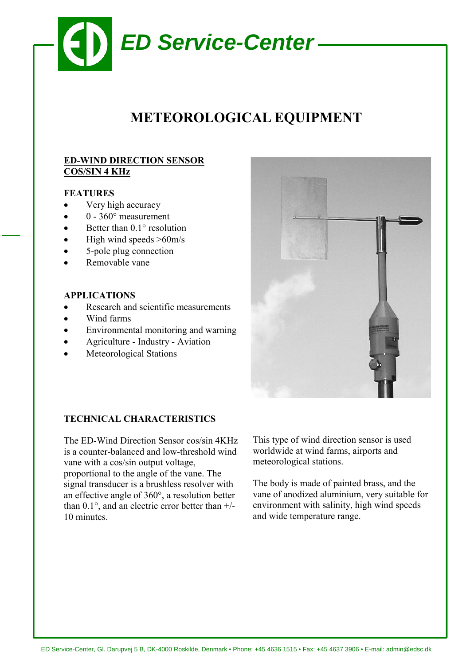

# **METEOROLOGICAL EQUIPMENT**

# **ED-WIND DIRECTION SENSOR COS/SIN 4 KHz**

## **FEATURES**

- Very high accuracy
- $0 360^\circ$  measurement
- Better than  $0.1^\circ$  resolution
- High wind speeds  $>60$ m/s
- 5-pole plug connection
- Removable vane

#### **APPLICATIONS**

- Research and scientific measurements
- Wind farms
- Environmental monitoring and warning
- Agriculture Industry Aviation
- Meteorological Stations



#### **TECHNICAL CHARACTERISTICS**

The ED-Wind Direction Sensor cos/sin 4KHz is a counter-balanced and low-threshold wind vane with a cos/sin output voltage, proportional to the angle of the vane. The signal transducer is a brushless resolver with an effective angle of 360°, a resolution better than 0.1°, and an electric error better than +/- 10 minutes.

This type of wind direction sensor is used worldwide at wind farms, airports and meteorological stations.

The body is made of painted brass, and the vane of anodized aluminium, very suitable for environment with salinity, high wind speeds and wide temperature range.